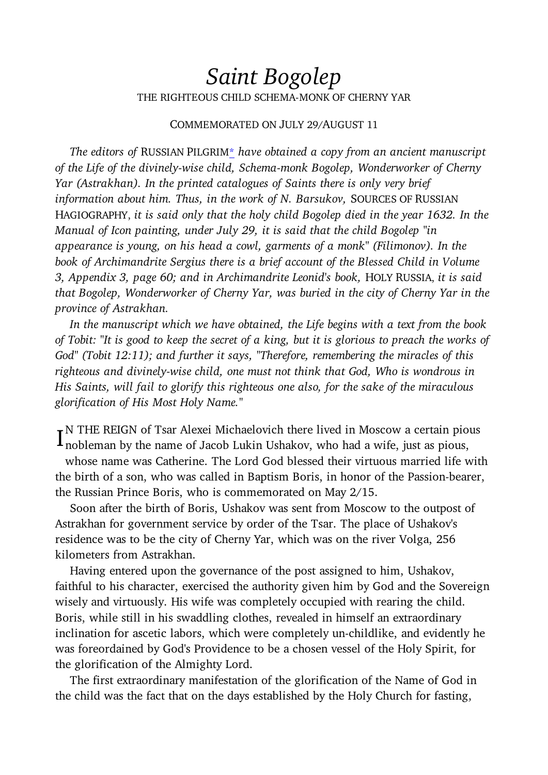## Saint Bogolep THE RIGHTEOUS CHILD SCHEMA-MONK OF CHERNY YAR

## COMMEMORATED ON JULY 29/AUGUST 11

 The editors of RUSSIAN PILGRIM\* have obtained a copy from an ancient manuscript of the Life of the divinely-wise child, Schema-monk Bogolep, Wonderworker of Cherny Yar (Astrakhan). In the printed catalogues of Saints there is only very brief information about him. Thus, in the work of N. Barsukov, SOURCES OF RUSSIAN HAGIOGRAPHY, it is said only that the holy child Bogolep died in the year 1632. In the Manual of Icon painting, under July 29, it is said that the child Bogolep "in appearance is young, on his head a cowl, garments of a monk" (Filimonov). In the book of Archimandrite Sergius there is a brief account of the Blessed Child in Volume 3, Appendix 3, page 60; and in Archimandrite Leonid's book, HOLY RUSSIA, it is said that Bogolep, Wonderworker of Cherny Yar, was buried in the city of Cherny Yar in the province of Astrakhan.

 In the manuscript which we have obtained, the Life begins with a text from the book of Tobit: "It is good to keep the secret of a king, but it is glorious to preach the works of God" (Tobit 12:11); and further it says, "Therefore, remembering the miracles of this righteous and divinely-wise child, one must not think that God, Who is wondrous in His Saints, will fail to glorify this righteous one also, for the sake of the miraculous glorification of His Most Holy Name."

I<sup>N</sup> THE REIGN of Tsar Alexei Michaelovich there lived in Moscow a certain pious<br>I nobleman by the name of Jacob Lukin Ushakov, who had a wife, just as pious, nobleman by the name of Jacob Lukin Ushakov, who had a wife, just as pious,

whose name was Catherine. The Lord God blessed their virtuous married life with the birth of a son, who was called in Baptism Boris, in honor of the Passion-bearer, the Russian Prince Boris, who is commemorated on May 2/15.

 Soon after the birth of Boris, Ushakov was sent from Moscow to the outpost of Astrakhan for government service by order of the Tsar. The place of Ushakov's residence was to be the city of Cherny Yar, which was on the river Volga, 256 kilometers from Astrakhan.

 Having entered upon the governance of the post assigned to him, Ushakov, faithful to his character, exercised the authority given him by God and the Sovereign wisely and virtuously. His wife was completely occupied with rearing the child. Boris, while still in his swaddling clothes, revealed in himself an extraordinary inclination for ascetic labors, which were completely un-childlike, and evidently he was foreordained by God's Providence to be a chosen vessel of the Holy Spirit, for the glorification of the Almighty Lord.

 The first extraordinary manifestation of the glorification of the Name of God in the child was the fact that on the days established by the Holy Church for fasting,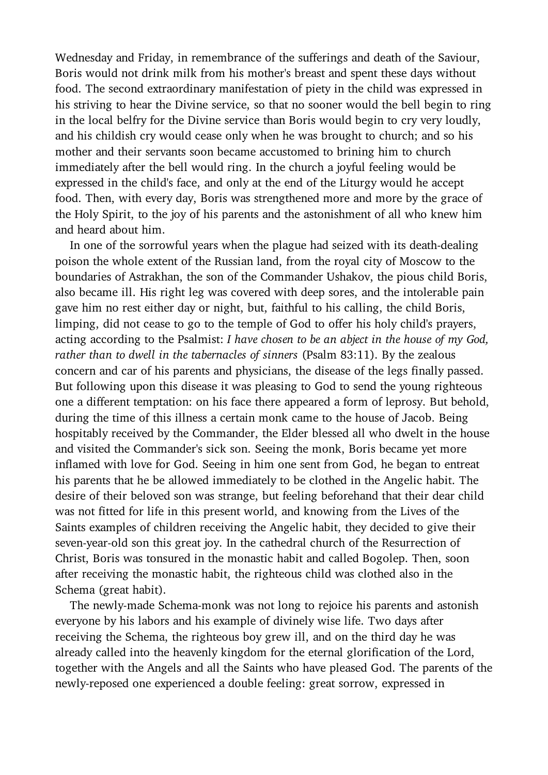Wednesday and Friday, in remembrance of the sufferings and death of the Saviour, Boris would not drink milk from his mother's breast and spent these days without food. The second extraordinary manifestation of piety in the child was expressed in his striving to hear the Divine service, so that no sooner would the bell begin to ring in the local belfry for the Divine service than Boris would begin to cry very loudly, and his childish cry would cease only when he was brought to church; and so his mother and their servants soon became accustomed to brining him to church immediately after the bell would ring. In the church a joyful feeling would be expressed in the child's face, and only at the end of the Liturgy would he accept food. Then, with every day, Boris was strengthened more and more by the grace of the Holy Spirit, to the joy of his parents and the astonishment of all who knew him and heard about him.

 In one of the sorrowful years when the plague had seized with its death-dealing poison the whole extent of the Russian land, from the royal city of Moscow to the boundaries of Astrakhan, the son of the Commander Ushakov, the pious child Boris, also became ill. His right leg was covered with deep sores, and the intolerable pain gave him no rest either day or night, but, faithful to his calling, the child Boris, limping, did not cease to go to the temple of God to offer his holy child's prayers, acting according to the Psalmist: I have chosen to be an abject in the house of my God, rather than to dwell in the tabernacles of sinners (Psalm 83:11). By the zealous concern and car of his parents and physicians, the disease of the legs finally passed. But following upon this disease it was pleasing to God to send the young righteous one a different temptation: on his face there appeared a form of leprosy. But behold, during the time of this illness a certain monk came to the house of Jacob. Being hospitably received by the Commander, the Elder blessed all who dwelt in the house and visited the Commander's sick son. Seeing the monk, Boris became yet more inflamed with love for God. Seeing in him one sent from God, he began to entreat his parents that he be allowed immediately to be clothed in the Angelic habit. The desire of their beloved son was strange, but feeling beforehand that their dear child was not fitted for life in this present world, and knowing from the Lives of the Saints examples of children receiving the Angelic habit, they decided to give their seven-year-old son this great joy. In the cathedral church of the Resurrection of Christ, Boris was tonsured in the monastic habit and called Bogolep. Then, soon after receiving the monastic habit, the righteous child was clothed also in the Schema (great habit).

 The newly-made Schema-monk was not long to rejoice his parents and astonish everyone by his labors and his example of divinely wise life. Two days after receiving the Schema, the righteous boy grew ill, and on the third day he was already called into the heavenly kingdom for the eternal glorification of the Lord, together with the Angels and all the Saints who have pleased God. The parents of the newly-reposed one experienced a double feeling: great sorrow, expressed in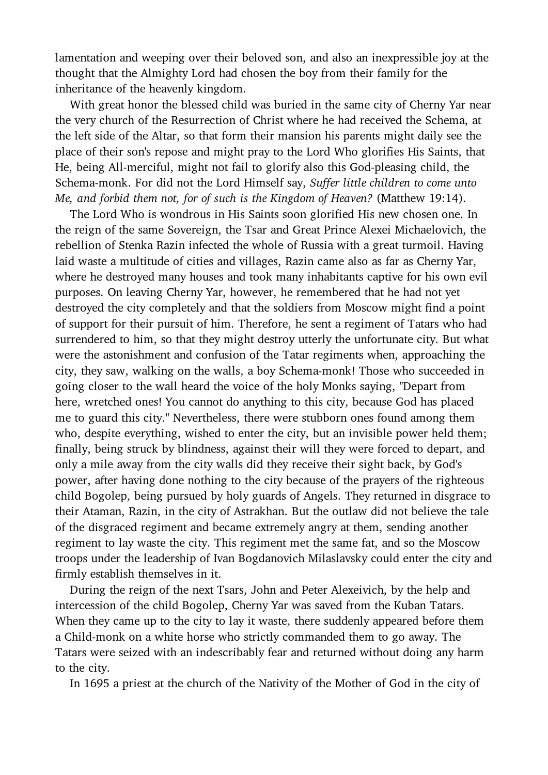lamentation and weeping over their beloved son, and also an inexpressible joy at the thought that the Almighty Lord had chosen the boy from their family for the inheritance of the heavenly kingdom.

 With great honor the blessed child was buried in the same city of Cherny Yar near the very church of the Resurrection of Christ where he had received the Schema, at the left side of the Altar, so that form their mansion his parents might daily see the place of their son's repose and might pray to the Lord Who glorifies His Saints, that He, being All-merciful, might not fail to glorify also this God-pleasing child, the Schema-monk. For did not the Lord Himself say, Suffer little children to come unto Me, and forbid them not, for of such is the Kingdom of Heaven? (Matthew 19:14).

 The Lord Who is wondrous in His Saints soon glorified His new chosen one. In the reign of the same Sovereign, the Tsar and Great Prince Alexei Michaelovich, the rebellion of Stenka Razin infected the whole of Russia with a great turmoil. Having laid waste a multitude of cities and villages, Razin came also as far as Cherny Yar, where he destroyed many houses and took many inhabitants captive for his own evil purposes. On leaving Cherny Yar, however, he remembered that he had not yet destroyed the city completely and that the soldiers from Moscow might find a point of support for their pursuit of him. Therefore, he sent a regiment of Tatars who had surrendered to him, so that they might destroy utterly the unfortunate city. But what were the astonishment and confusion of the Tatar regiments when, approaching the city, they saw, walking on the walls, a boy Schema-monk! Those who succeeded in going closer to the wall heard the voice of the holy Monks saying, "Depart from here, wretched ones! You cannot do anything to this city, because God has placed me to guard this city." Nevertheless, there were stubborn ones found among them who, despite everything, wished to enter the city, but an invisible power held them; finally, being struck by blindness, against their will they were forced to depart, and only a mile away from the city walls did they receive their sight back, by God's power, after having done nothing to the city because of the prayers of the righteous child Bogolep, being pursued by holy guards of Angels. They returned in disgrace to their Ataman, Razin, in the city of Astrakhan. But the outlaw did not believe the tale of the disgraced regiment and became extremely angry at them, sending another regiment to lay waste the city. This regiment met the same fat, and so the Moscow troops under the leadership of Ivan Bogdanovich Milaslavsky could enter the city and firmly establish themselves in it.

 During the reign of the next Tsars, John and Peter Alexeivich, by the help and intercession of the child Bogolep, Cherny Yar was saved from the Kuban Tatars. When they came up to the city to lay it waste, there suddenly appeared before them a Child-monk on a white horse who strictly commanded them to go away. The Tatars were seized with an indescribably fear and returned without doing any harm to the city.

In 1695 a priest at the church of the Nativity of the Mother of God in the city of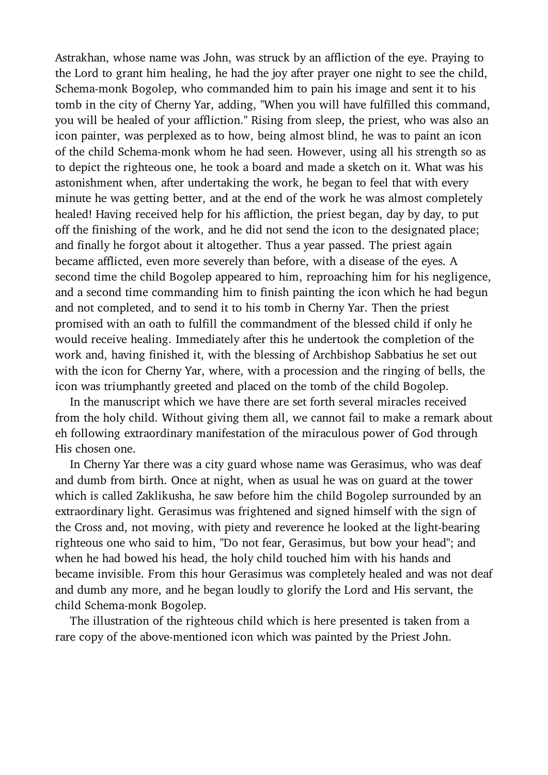Astrakhan, whose name was John, was struck by an affliction of the eye. Praying to the Lord to grant him healing, he had the joy after prayer one night to see the child, Schema-monk Bogolep, who commanded him to pain his image and sent it to his tomb in the city of Cherny Yar, adding, "When you will have fulfilled this command, you will be healed of your affliction." Rising from sleep, the priest, who was also an icon painter, was perplexed as to how, being almost blind, he was to paint an icon of the child Schema-monk whom he had seen. However, using all his strength so as to depict the righteous one, he took a board and made a sketch on it. What was his astonishment when, after undertaking the work, he began to feel that with every minute he was getting better, and at the end of the work he was almost completely healed! Having received help for his affliction, the priest began, day by day, to put off the finishing of the work, and he did not send the icon to the designated place; and finally he forgot about it altogether. Thus a year passed. The priest again became afflicted, even more severely than before, with a disease of the eyes. A second time the child Bogolep appeared to him, reproaching him for his negligence, and a second time commanding him to finish painting the icon which he had begun and not completed, and to send it to his tomb in Cherny Yar. Then the priest promised with an oath to fulfill the commandment of the blessed child if only he would receive healing. Immediately after this he undertook the completion of the work and, having finished it, with the blessing of Archbishop Sabbatius he set out with the icon for Cherny Yar, where, with a procession and the ringing of bells, the icon was triumphantly greeted and placed on the tomb of the child Bogolep.

 In the manuscript which we have there are set forth several miracles received from the holy child. Without giving them all, we cannot fail to make a remark about eh following extraordinary manifestation of the miraculous power of God through His chosen one.

 In Cherny Yar there was a city guard whose name was Gerasimus, who was deaf and dumb from birth. Once at night, when as usual he was on guard at the tower which is called Zaklikusha, he saw before him the child Bogolep surrounded by an extraordinary light. Gerasimus was frightened and signed himself with the sign of the Cross and, not moving, with piety and reverence he looked at the light-bearing righteous one who said to him, "Do not fear, Gerasimus, but bow your head"; and when he had bowed his head, the holy child touched him with his hands and became invisible. From this hour Gerasimus was completely healed and was not deaf and dumb any more, and he began loudly to glorify the Lord and His servant, the child Schema-monk Bogolep.

 The illustration of the righteous child which is here presented is taken from a rare copy of the above-mentioned icon which was painted by the Priest John.